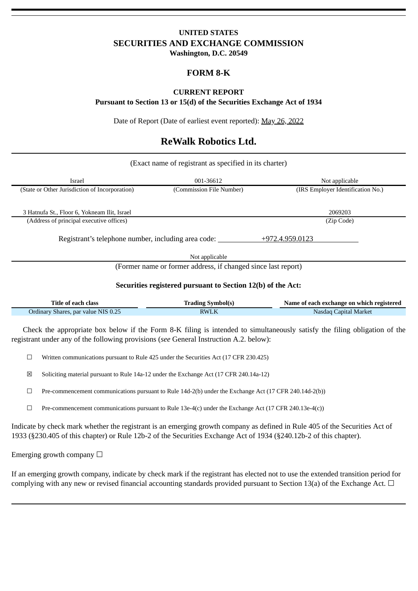# **UNITED STATES SECURITIES AND EXCHANGE COMMISSION**

**Washington, D.C. 20549**

# **FORM 8-K**

#### **CURRENT REPORT**

**Pursuant to Section 13 or 15(d) of the Securities Exchange Act of 1934**

Date of Report (Date of earliest event reported): May 26, 2022

# **ReWalk Robotics Ltd.**

(Exact name of registrant as specified in its charter) Israel 001-36612 Not applicable (State or Other Jurisdiction of Incorporation) (Commission File Number) (IRS Employer Identification No.) 3 Hatnufa St., Floor 6, Yokneam Ilit, Israel 2069203 (Address of principal executive offices) (Zip Code) Registrant's telephone number, including area code: +972.4.959.0123 Not applicable (Former name or former address, if changed since last report)

#### **Securities registered pursuant to Section 12(b) of the Act:**

| Title of each class                 | <b>Trading Symbol(s)</b> | Name of each exchange on which registered |  |
|-------------------------------------|--------------------------|-------------------------------------------|--|
| Ordinary Shares, par value NIS 0.25 | RWLK                     | Nasdaq Capital Market                     |  |

Check the appropriate box below if the Form 8-K filing is intended to simultaneously satisfy the filing obligation of the registrant under any of the following provisions (*see* General Instruction A.2. below):

☐ Written communications pursuant to Rule 425 under the Securities Act (17 CFR 230.425)

☒ Soliciting material pursuant to Rule 14a-12 under the Exchange Act (17 CFR 240.14a-12)

☐ Pre-commencement communications pursuant to Rule 14d-2(b) under the Exchange Act (17 CFR 240.14d-2(b))

 $\Box$  Pre-commencement communications pursuant to Rule 13e-4(c) under the Exchange Act (17 CFR 240.13e-4(c))

Indicate by check mark whether the registrant is an emerging growth company as defined in Rule 405 of the Securities Act of 1933 (§230.405 of this chapter) or Rule 12b-2 of the Securities Exchange Act of 1934 (§240.12b-2 of this chapter).

Emerging growth company  $\Box$ 

If an emerging growth company, indicate by check mark if the registrant has elected not to use the extended transition period for complying with any new or revised financial accounting standards provided pursuant to Section 13(a) of the Exchange Act.  $\Box$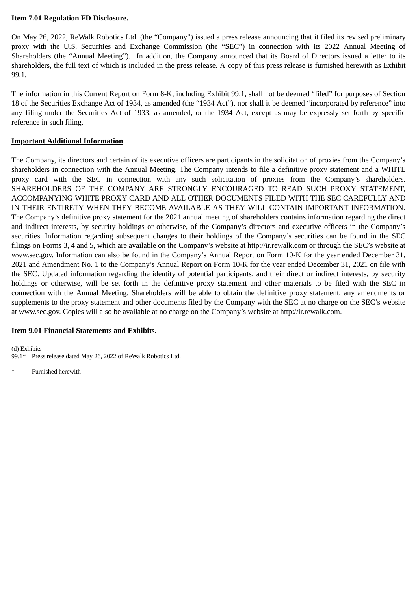#### **Item 7.01 Regulation FD Disclosure.**

On May 26, 2022, ReWalk Robotics Ltd. (the "Company") issued a press release announcing that it filed its revised preliminary proxy with the U.S. Securities and Exchange Commission (the "SEC") in connection with its 2022 Annual Meeting of Shareholders (the "Annual Meeting"). In addition, the Company announced that its Board of Directors issued a letter to its shareholders, the full text of which is included in the press release. A copy of this press release is furnished herewith as Exhibit 99.1.

The information in this Current Report on Form 8-K, including Exhibit 99.1, shall not be deemed "filed" for purposes of Section 18 of the Securities Exchange Act of 1934, as amended (the "1934 Act"), nor shall it be deemed "incorporated by reference" into any filing under the Securities Act of 1933, as amended, or the 1934 Act, except as may be expressly set forth by specific reference in such filing.

#### **Important Additional Information**

The Company, its directors and certain of its executive officers are participants in the solicitation of proxies from the Company's shareholders in connection with the Annual Meeting. The Company intends to file a definitive proxy statement and a WHITE proxy card with the SEC in connection with any such solicitation of proxies from the Company's shareholders. SHAREHOLDERS OF THE COMPANY ARE STRONGLY ENCOURAGED TO READ SUCH PROXY STATEMENT, ACCOMPANYING WHITE PROXY CARD AND ALL OTHER DOCUMENTS FILED WITH THE SEC CAREFULLY AND IN THEIR ENTIRETY WHEN THEY BECOME AVAILABLE AS THEY WILL CONTAIN IMPORTANT INFORMATION. The Company's definitive proxy statement for the 2021 annual meeting of shareholders contains information regarding the direct and indirect interests, by security holdings or otherwise, of the Company's directors and executive officers in the Company's securities. Information regarding subsequent changes to their holdings of the Company's securities can be found in the SEC filings on Forms 3, 4 and 5, which are available on the Company's website at http://ir.rewalk.com or through the SEC's website at www.sec.gov. Information can also be found in the Company's Annual Report on Form 10-K for the year ended December 31, 2021 and Amendment No. 1 to the Company's Annual Report on Form 10-K for the year ended December 31, 2021 on file with the SEC. Updated information regarding the identity of potential participants, and their direct or indirect interests, by security holdings or otherwise, will be set forth in the definitive proxy statement and other materials to be filed with the SEC in connection with the Annual Meeting. Shareholders will be able to obtain the definitive proxy statement, any amendments or supplements to the proxy statement and other documents filed by the Company with the SEC at no charge on the SEC's website at www.sec.gov. Copies will also be available at no charge on the Company's website at http://ir.rewalk.com.

#### **Item 9.01 Financial Statements and Exhibits.**

(d) Exhibits

99.1\* Press release dated May 26, 2022 of ReWalk Robotics Ltd.

Furnished herewith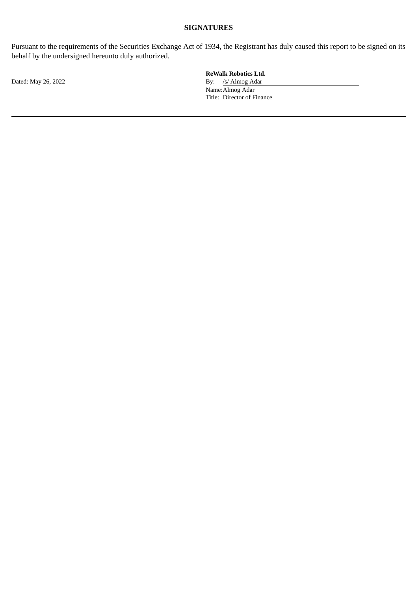# **SIGNATURES**

Pursuant to the requirements of the Securities Exchange Act of 1934, the Registrant has duly caused this report to be signed on its behalf by the undersigned hereunto duly authorized.

**ReWalk Robotics Ltd.** Dated: May 26, 2022 By: /s/ Almog Adar Name:Almog Adar Title: Director of Finance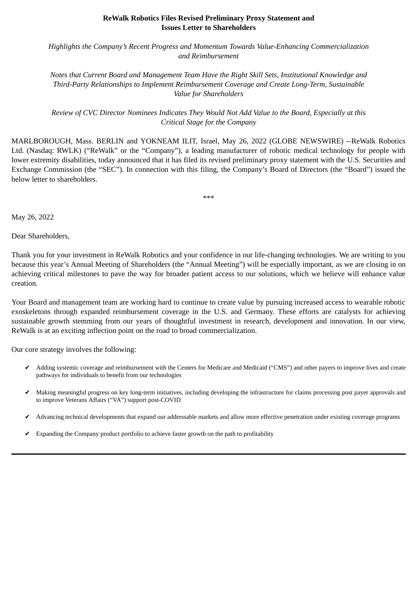#### **ReWalk Robotics Files Revised Preliminary Proxy Statement and Issues Letter to Shareholders**

*Highlights the Company's Recent Progress and Momentum Towards Value-Enhancing Commercialization and Reimbursement*

*Notes that Current Board and Management Team Have the Right Skill Sets, Institutional Knowledge and Third-Party Relationships to Implement Reimbursement Coverage and Create Long-Term, Sustainable Value for Shareholders*

*Review of CVC Director Nominees Indicates They Would Not Add Value to the Board, Especially at this Critical Stage for the Company*

MARLBOROUGH, Mass. BERLIN and YOKNEAM ILIT, Israel, May 26, 2022 (GLOBE NEWSWIRE) --ReWalk Robotics Ltd. (Nasdaq: RWLK) ("ReWalk" or the "Company"), a leading manufacturer of robotic medical technology for people with lower extremity disabilities, today announced that it has filed its revised preliminary proxy statement with the U.S. Securities and Exchange Commission (the "SEC"). In connection with this filing, the Company's Board of Directors (the "Board") issued the below letter to shareholders.

\*\*\*

May 26, 2022

Dear Shareholders,

Thank you for your investment in ReWalk Robotics and your confidence in our life-changing technologies. We are writing to you because this year's Annual Meeting of Shareholders (the "Annual Meeting") will be especially important, as we are closing in on achieving critical milestones to pave the way for broader patient access to our solutions, which we believe will enhance value creation.

Your Board and management team are working hard to continue to create value by pursuing increased access to wearable robotic exoskeletons through expanded reimbursement coverage in the U.S. and Germany. These efforts are catalysts for achieving sustainable growth stemming from our years of thoughtful investment in research, development and innovation. In our view, ReWalk is at an exciting inflection point on the road to broad commercialization.

Our core strategy involves the following:

- ✔ Adding systemic coverage and reimbursement with the Centers for Medicare and Medicaid ("CMS") and other payers to improve lives and create pathways for individuals to benefit from our technologies
- ✔ Making meaningful progress on key long-term initiatives, including developing the infrastructure for claims processing post payer approvals and to improve Veterans Affairs ("VA") support post-COVID
- ✔ Advancing technical developments that expand our addressable markets and allow more effective penetration under existing coverage programs
- ✔ Expanding the Company product portfolio to achieve faster growth on the path to profitability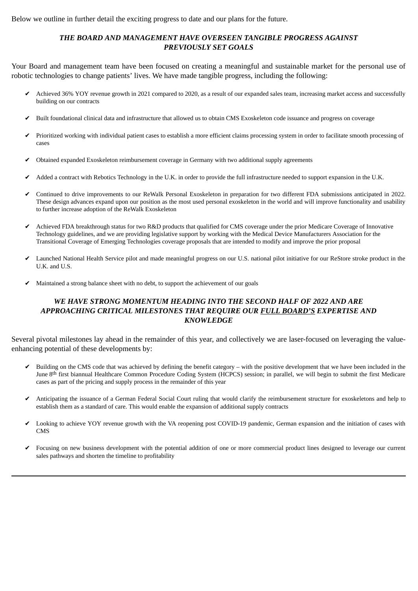Below we outline in further detail the exciting progress to date and our plans for the future.

## *THE BOARD AND MANAGEMENT HAVE OVERSEEN TANGIBLE PROGRESS AGAINST PREVIOUSLY SET GOALS*

Your Board and management team have been focused on creating a meaningful and sustainable market for the personal use of robotic technologies to change patients' lives. We have made tangible progress, including the following:

- ✔ Achieved 36% YOY revenue growth in 2021 compared to 2020, as a result of our expanded sales team, increasing market access and successfully building on our contracts
- ✔ Built foundational clinical data and infrastructure that allowed us to obtain CMS Exoskeleton code issuance and progress on coverage
- Prioritized working with individual patient cases to establish a more efficient claims processing system in order to facilitate smooth processing of cases
- ✔ Obtained expanded Exoskeleton reimbursement coverage in Germany with two additional supply agreements
- Added a contract with Rebotics Technology in the U.K. in order to provide the full infrastructure needed to support expansion in the U.K.
- ✔ Continued to drive improvements to our ReWalk Personal Exoskeleton in preparation for two different FDA submissions anticipated in 2022. These design advances expand upon our position as the most used personal exoskeleton in the world and will improve functionality and usability to further increase adoption of the ReWalk Exoskeleton
- Achieved FDA breakthrough status for two R&D products that qualified for CMS coverage under the prior Medicare Coverage of Innovative Technology guidelines, and we are providing legislative support by working with the Medical Device Manufacturers Association for the Transitional Coverage of Emerging Technologies coverage proposals that are intended to modify and improve the prior proposal
- Launched National Health Service pilot and made meaningful progress on our U.S. national pilot initiative for our ReStore stroke product in the U.K. and U.S.
- Maintained a strong balance sheet with no debt, to support the achievement of our goals

# *WE HAVE STRONG MOMENTUM HEADING INTO THE SECOND HALF OF 2022 AND ARE APPROACHING CRITICAL MILESTONES THAT REQUIRE OUR FULL BOARD'S EXPERTISE AND KNOWLEDGE*

Several pivotal milestones lay ahead in the remainder of this year, and collectively we are laser-focused on leveraging the valueenhancing potential of these developments by:

- ✔ Building on the CMS code that was achieved by defining the benefit category with the positive development that we have been included in the June 8th first biannual Healthcare Common Procedure Coding System (HCPCS) session; in parallel, we will begin to submit the first Medicare cases as part of the pricing and supply process in the remainder of this year
- ✔ Anticipating the issuance of a German Federal Social Court ruling that would clarify the reimbursement structure for exoskeletons and help to establish them as a standard of care. This would enable the expansion of additional supply contracts
- ✔ Looking to achieve YOY revenue growth with the VA reopening post COVID-19 pandemic, German expansion and the initiation of cases with CMS
- ✔ Focusing on new business development with the potential addition of one or more commercial product lines designed to leverage our current sales pathways and shorten the timeline to profitability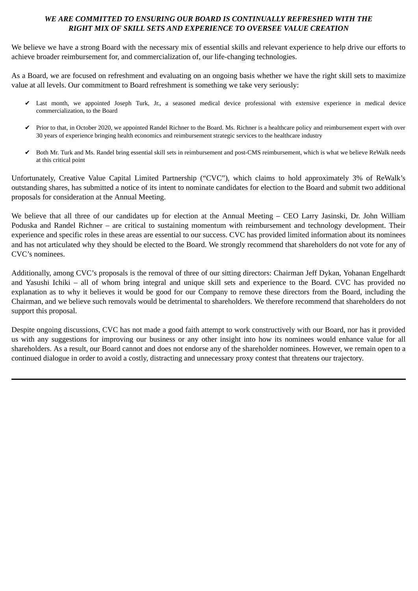#### *WE ARE COMMITTED TO ENSURING OUR BOARD IS CONTINUALLY REFRESHED WITH THE RIGHT MIX OF SKILL SETS AND EXPERIENCE TO OVERSEE VALUE CREATION*

We believe we have a strong Board with the necessary mix of essential skills and relevant experience to help drive our efforts to achieve broader reimbursement for, and commercialization of, our life-changing technologies.

As a Board, we are focused on refreshment and evaluating on an ongoing basis whether we have the right skill sets to maximize value at all levels. Our commitment to Board refreshment is something we take very seriously:

- ✔ Last month, we appointed Joseph Turk, Jr., a seasoned medical device professional with extensive experience in medical device commercialization, to the Board
- Prior to that, in October 2020, we appointed Randel Richner to the Board. Ms. Richner is a healthcare policy and reimbursement expert with over 30 years of experience bringing health economics and reimbursement strategic services to the healthcare industry
- ✔ Both Mr. Turk and Ms. Randel bring essential skill sets in reimbursement and post-CMS reimbursement, which is what we believe ReWalk needs at this critical point

Unfortunately, Creative Value Capital Limited Partnership ("CVC"), which claims to hold approximately 3% of ReWalk's outstanding shares, has submitted a notice of its intent to nominate candidates for election to the Board and submit two additional proposals for consideration at the Annual Meeting.

We believe that all three of our candidates up for election at the Annual Meeting – CEO Larry Jasinski, Dr. John William Poduska and Randel Richner – are critical to sustaining momentum with reimbursement and technology development. Their experience and specific roles in these areas are essential to our success. CVC has provided limited information about its nominees and has not articulated why they should be elected to the Board. We strongly recommend that shareholders do not vote for any of CVC's nominees.

Additionally, among CVC's proposals is the removal of three of our sitting directors: Chairman Jeff Dykan, Yohanan Engelhardt and Yasushi Ichiki – all of whom bring integral and unique skill sets and experience to the Board. CVC has provided no explanation as to why it believes it would be good for our Company to remove these directors from the Board, including the Chairman, and we believe such removals would be detrimental to shareholders. We therefore recommend that shareholders do not support this proposal.

Despite ongoing discussions, CVC has not made a good faith attempt to work constructively with our Board, nor has it provided us with any suggestions for improving our business or any other insight into how its nominees would enhance value for all shareholders. As a result, our Board cannot and does not endorse any of the shareholder nominees. However, we remain open to a continued dialogue in order to avoid a costly, distracting and unnecessary proxy contest that threatens our trajectory.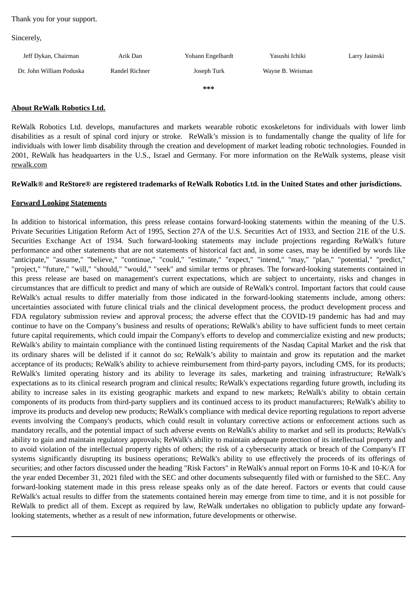Thank you for your support.

Sincerely,

| Jeff Dykan, Chairman     | Arik Dan       | Yohann Engelhardt | Yasushi Ichiki   | Larry Jasinski |
|--------------------------|----------------|-------------------|------------------|----------------|
| Dr. John William Poduska | Randel Richner | Joseph Turk       | Wayne B. Weisman |                |

**\*\*\***

#### **About ReWalk Robotics Ltd.**

ReWalk Robotics Ltd. develops, manufactures and markets wearable robotic exoskeletons for individuals with lower limb disabilities as a result of spinal cord injury or stroke. ReWalk's mission is to fundamentally change the quality of life for individuals with lower limb disability through the creation and development of market leading robotic technologies. Founded in 2001, ReWalk has headquarters in the U.S., Israel and Germany. For more information on the ReWalk systems, please visit rewalk.com

#### **ReWalk® and ReStore® are registered trademarks of ReWalk Robotics Ltd. in the United States and other jurisdictions.**

#### **Forward Looking Statements**

In addition to historical information, this press release contains forward-looking statements within the meaning of the U.S. Private Securities Litigation Reform Act of 1995, Section 27A of the U.S. Securities Act of 1933, and Section 21E of the U.S. Securities Exchange Act of 1934. Such forward-looking statements may include projections regarding ReWalk's future performance and other statements that are not statements of historical fact and, in some cases, may be identified by words like "anticipate," "assume," "believe," "continue," "could," "estimate," "expect," "intend," "may," "plan," "potential," "predict," "project," "future," "will," "should," "would," "seek" and similar terms or phrases. The forward-looking statements contained in this press release are based on management's current expectations, which are subject to uncertainty, risks and changes in circumstances that are difficult to predict and many of which are outside of ReWalk's control. Important factors that could cause ReWalk's actual results to differ materially from those indicated in the forward-looking statements include, among others: uncertainties associated with future clinical trials and the clinical development process, the product development process and FDA regulatory submission review and approval process; the adverse effect that the COVID-19 pandemic has had and may continue to have on the Company's business and results of operations; ReWalk's ability to have sufficient funds to meet certain future capital requirements, which could impair the Company's efforts to develop and commercialize existing and new products; ReWalk's ability to maintain compliance with the continued listing requirements of the Nasdaq Capital Market and the risk that its ordinary shares will be delisted if it cannot do so; ReWalk's ability to maintain and grow its reputation and the market acceptance of its products; ReWalk's ability to achieve reimbursement from third-party payors, including CMS, for its products; ReWalk's limited operating history and its ability to leverage its sales, marketing and training infrastructure; ReWalk's expectations as to its clinical research program and clinical results; ReWalk's expectations regarding future growth, including its ability to increase sales in its existing geographic markets and expand to new markets; ReWalk's ability to obtain certain components of its products from third-party suppliers and its continued access to its product manufacturers; ReWalk's ability to improve its products and develop new products; ReWalk's compliance with medical device reporting regulations to report adverse events involving the Company's products, which could result in voluntary corrective actions or enforcement actions such as mandatory recalls, and the potential impact of such adverse events on ReWalk's ability to market and sell its products; ReWalk's ability to gain and maintain regulatory approvals; ReWalk's ability to maintain adequate protection of its intellectual property and to avoid violation of the intellectual property rights of others; the risk of a cybersecurity attack or breach of the Company's IT systems significantly disrupting its business operations; ReWalk's ability to use effectively the proceeds of its offerings of securities; and other factors discussed under the heading "Risk Factors" in ReWalk's annual report on Forms 10-K and 10-K/A for the year ended December 31, 2021 filed with the SEC and other documents subsequently filed with or furnished to the SEC. Any forward-looking statement made in this press release speaks only as of the date hereof. Factors or events that could cause ReWalk's actual results to differ from the statements contained herein may emerge from time to time, and it is not possible for ReWalk to predict all of them. Except as required by law, ReWalk undertakes no obligation to publicly update any forwardlooking statements, whether as a result of new information, future developments or otherwise.